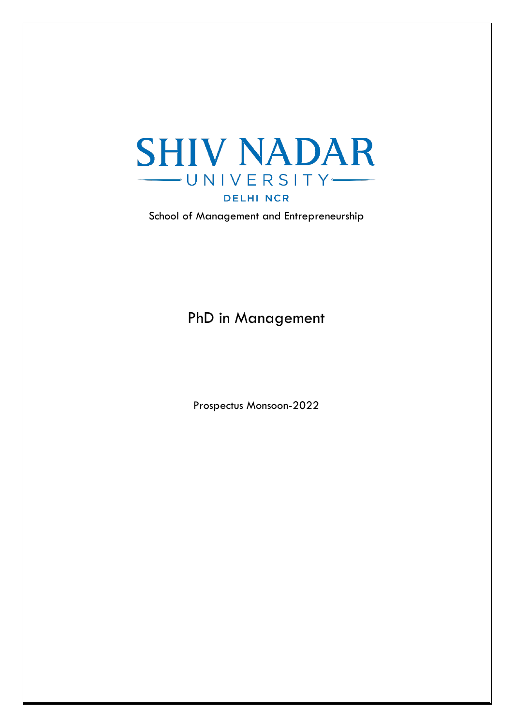

School of Management and Entrepreneurship

PhD in Management

Prospectus Monsoon-2022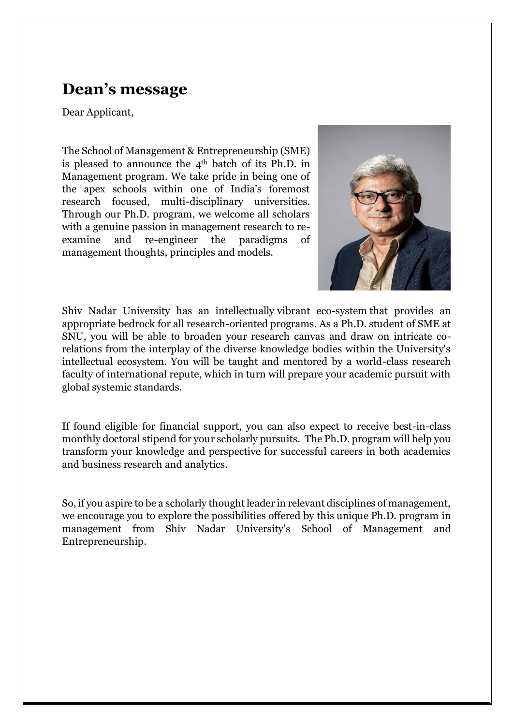## **Dean's message**

Dear Applicant,

The School of Management & Entrepreneurship (SME) is pleased to announce the  $4<sup>th</sup>$  batch of its Ph.D. in Management program. We take pride in being one of the apex schools within one of India's foremost research focused, multi-disciplinary universities. Through our Ph.D. program, we welcome all scholars with a genuine passion in management research to reexamine and re-engineer the paradigms of management thoughts, principles and models.



Shiv Nadar University has an intellectually vibrant eco-system that provides an appropriate bedrock for all research-oriented programs. As a Ph.D. student of SME at SNU, you will be able to broaden your research canvas and draw on intricate corelations from the interplay of the diverse knowledge bodies within the University's intellectual ecosystem. You will be taught and mentored by a world-class research faculty of international repute, which in turn will prepare your academic pursuit with global systemic standards.

If found eligible for financial support, you can also expect to receive best-in-class monthly doctoral stipend for your scholarly pursuits. The Ph.D. program will help you transform your knowledge and perspective for successful careers in both academics and business research and analytics.

So, if you aspire to be a scholarly thought leader in relevant disciplines of management, we encourage you to explore the possibilities offered by this unique Ph.D. program in management from Shiv Nadar University's School of Management and Entrepreneurship.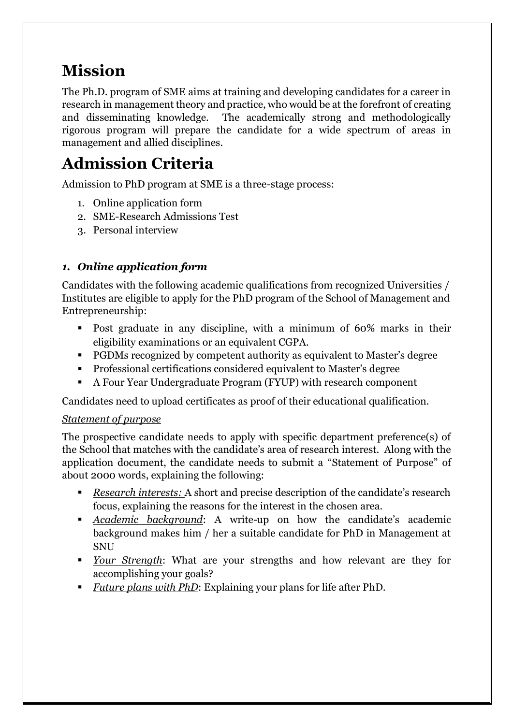## **Mission**

The Ph.D. program of SME aims at training and developing candidates for a career in research in management theory and practice, who would be at the forefront of creating and disseminating knowledge. The academically strong and methodologically rigorous program will prepare the candidate for a wide spectrum of areas in management and allied disciplines.

# **Admission Criteria**

Admission to PhD program at SME is a three-stage process:

- 1. Online application form
- 2. SME-Research Admissions Test
- 3. Personal interview

### *1. Online application form*

Candidates with the following academic qualifications from recognized Universities / Institutes are eligible to apply for the PhD program of the School of Management and Entrepreneurship:

- Post graduate in any discipline, with a minimum of 60% marks in their eligibility examinations or an equivalent CGPA.
- PGDMs recognized by competent authority as equivalent to Master's degree
- Professional certifications considered equivalent to Master's degree
- A Four Year Undergraduate Program (FYUP) with research component

Candidates need to upload certificates as proof of their educational qualification.

### *Statement of purpose*

The prospective candidate needs to apply with specific department preference(s) of the School that matches with the candidate's area of research interest. Along with the application document, the candidate needs to submit a "Statement of Purpose" of about 2000 words, explaining the following:

- *Research interests:* A short and precise description of the candidate's research focus, explaining the reasons for the interest in the chosen area.
- *Academic background*: A write-up on how the candidate's academic background makes him / her a suitable candidate for PhD in Management at **SNU**
- *Your Strength*: What are your strengths and how relevant are they for accomplishing your goals?
- *Future plans with PhD*: Explaining your plans for life after PhD.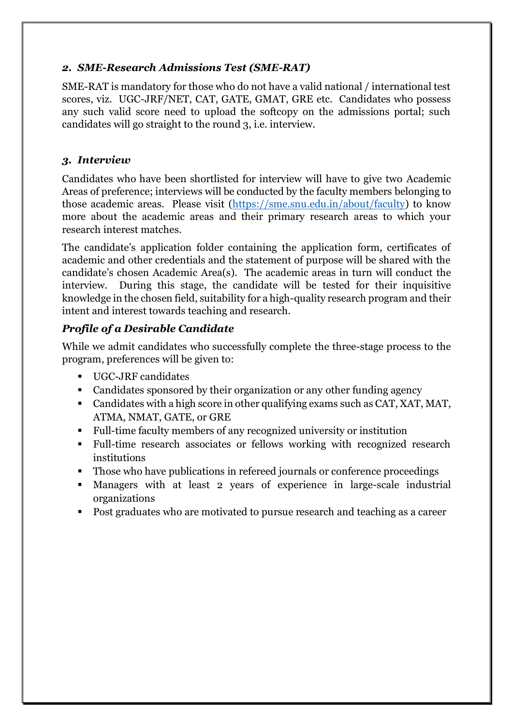#### *2. SME-Research Admissions Test (SME-RAT)*

SME-RAT is mandatory for those who do not have a valid national / international test scores, viz. UGC-JRF/NET, CAT, GATE, GMAT, GRE etc. Candidates who possess any such valid score need to upload the softcopy on the admissions portal; such candidates will go straight to the round 3, i.e. interview.

#### *3. Interview*

Candidates who have been shortlisted for interview will have to give two Academic Areas of preference; interviews will be conducted by the faculty members belonging to those academic areas. Please visit [\(https://sme.snu.edu.in/about/faculty\)](https://sme.snu.edu.in/about/faculty) to know more about the academic areas and their primary research areas to which your research interest matches.

The candidate's application folder containing the application form, certificates of academic and other credentials and the statement of purpose will be shared with the candidate's chosen Academic Area(s). The academic areas in turn will conduct the interview. During this stage, the candidate will be tested for their inquisitive knowledge in the chosen field, suitability for a high-quality research program and their intent and interest towards teaching and research.

### *Profile of a Desirable Candidate*

While we admit candidates who successfully complete the three-stage process to the program, preferences will be given to:

- UGC-JRF candidates
- Candidates sponsored by their organization or any other funding agency
- Candidates with a high score in other qualifying exams such as CAT, XAT, MAT, ATMA, NMAT, GATE, or GRE
- Full-time faculty members of any recognized university or institution
- Full-time research associates or fellows working with recognized research institutions
- Those who have publications in refereed journals or conference proceedings
- Managers with at least 2 years of experience in large-scale industrial organizations
- Post graduates who are motivated to pursue research and teaching as a career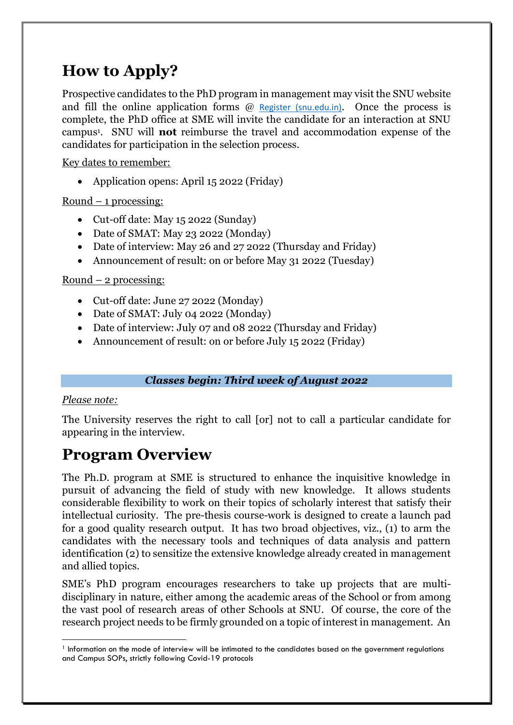# **How to Apply?**

Prospective candidates to the PhD program in management may visit the SNU website and fill the online application forms  $\omega$  [Register \(snu.edu.in\)](https://applications.snu.edu.in/OnlineAppPG/public/application/Register/index). Once the process is complete, the PhD office at SME will invite the candidate for an interaction at SNU campus<sup>1</sup> . SNU will **not** reimburse the travel and accommodation expense of the candidates for participation in the selection process.

Key dates to remember:

• Application opens: April 15 2022 (Friday)

 $Round - 1 processing:$ 

- Cut-off date: May 15 2022 (Sunday)
- Date of SMAT: May 23 2022 (Monday)
- Date of interview: May 26 and 27 2022 (Thursday and Friday)
- Announcement of result: on or before May 31 2022 (Tuesday)

### Round  $-2$  processing:

- Cut-off date: June 27 2022 (Monday)
- Date of SMAT: July 04 2022 (Monday)
- Date of interview: July 07 and 08 2022 (Thursday and Friday)
- Announcement of result: on or before July 15 2022 (Friday)

### *Classes begin: Third week of August 2022*

### *Please note:*

The University reserves the right to call [or] not to call a particular candidate for appearing in the interview.

## **Program Overview**

The Ph.D. program at SME is structured to enhance the inquisitive knowledge in pursuit of advancing the field of study with new knowledge. It allows students considerable flexibility to work on their topics of scholarly interest that satisfy their intellectual curiosity. The pre-thesis course-work is designed to create a launch pad for a good quality research output. It has two broad objectives, viz., (1) to arm the candidates with the necessary tools and techniques of data analysis and pattern identification (2) to sensitize the extensive knowledge already created in management and allied topics.

SME's PhD program encourages researchers to take up projects that are multidisciplinary in nature, either among the academic areas of the School or from among the vast pool of research areas of other Schools at SNU. Of course, the core of the research project needs to be firmly grounded on a topic of interest in management. An

**<sup>.</sup>** <sup>1</sup> Information on the mode of interview will be intimated to the candidates based on the government regulations and Campus SOPs, strictly following Covid-19 protocols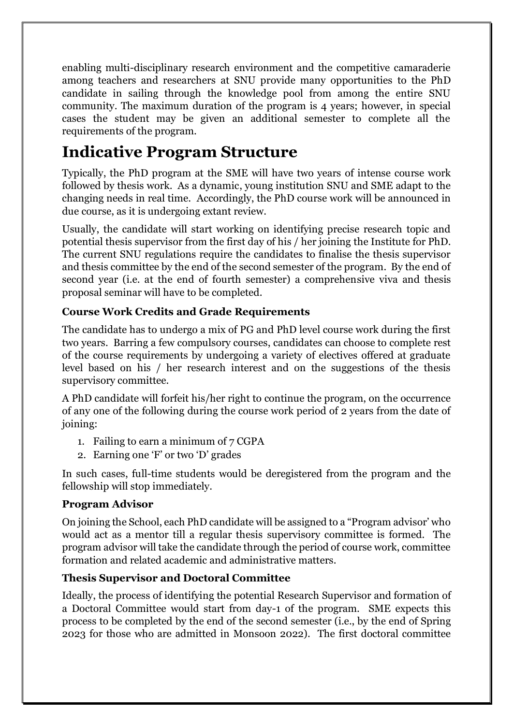enabling multi-disciplinary research environment and the competitive camaraderie among teachers and researchers at SNU provide many opportunities to the PhD candidate in sailing through the knowledge pool from among the entire SNU community. The maximum duration of the program is 4 years; however, in special cases the student may be given an additional semester to complete all the requirements of the program.

## **Indicative Program Structure**

Typically, the PhD program at the SME will have two years of intense course work followed by thesis work. As a dynamic, young institution SNU and SME adapt to the changing needs in real time. Accordingly, the PhD course work will be announced in due course, as it is undergoing extant review.

Usually, the candidate will start working on identifying precise research topic and potential thesis supervisor from the first day of his / her joining the Institute for PhD. The current SNU regulations require the candidates to finalise the thesis supervisor and thesis committee by the end of the second semester of the program. By the end of second year (i.e. at the end of fourth semester) a comprehensive viva and thesis proposal seminar will have to be completed.

### **Course Work Credits and Grade Requirements**

The candidate has to undergo a mix of PG and PhD level course work during the first two years. Barring a few compulsory courses, candidates can choose to complete rest of the course requirements by undergoing a variety of electives offered at graduate level based on his / her research interest and on the suggestions of the thesis supervisory committee.

A PhD candidate will forfeit his/her right to continue the program, on the occurrence of any one of the following during the course work period of 2 years from the date of joining:

- 1. Failing to earn a minimum of 7 CGPA
- 2. Earning one 'F' or two 'D' grades

In such cases, full-time students would be deregistered from the program and the fellowship will stop immediately.

### **Program Advisor**

On joining the School, each PhD candidate will be assigned to a "Program advisor' who would act as a mentor till a regular thesis supervisory committee is formed. The program advisor will take the candidate through the period of course work, committee formation and related academic and administrative matters.

### **Thesis Supervisor and Doctoral Committee**

Ideally, the process of identifying the potential Research Supervisor and formation of a Doctoral Committee would start from day-1 of the program. SME expects this process to be completed by the end of the second semester (i.e., by the end of Spring 2023 for those who are admitted in Monsoon 2022). The first doctoral committee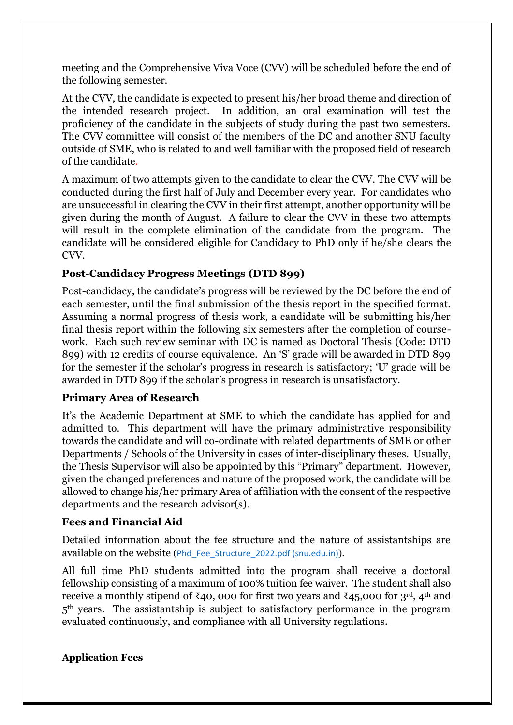meeting and the Comprehensive Viva Voce (CVV) will be scheduled before the end of the following semester.

At the CVV, the candidate is expected to present his/her broad theme and direction of the intended research project. In addition, an oral examination will test the proficiency of the candidate in the subjects of study during the past two semesters. The CVV committee will consist of the members of the DC and another SNU faculty outside of SME, who is related to and well familiar with the proposed field of research of the candidate.

A maximum of two attempts given to the candidate to clear the CVV. The CVV will be conducted during the first half of July and December every year. For candidates who are unsuccessful in clearing the CVV in their first attempt, another opportunity will be given during the month of August. A failure to clear the CVV in these two attempts will result in the complete elimination of the candidate from the program. The candidate will be considered eligible for Candidacy to PhD only if he/she clears the CVV.

### **Post-Candidacy Progress Meetings (DTD 899)**

Post-candidacy, the candidate's progress will be reviewed by the DC before the end of each semester, until the final submission of the thesis report in the specified format. Assuming a normal progress of thesis work, a candidate will be submitting his/her final thesis report within the following six semesters after the completion of coursework. Each such review seminar with DC is named as Doctoral Thesis (Code: DTD 899) with 12 credits of course equivalence. An 'S' grade will be awarded in DTD 899 for the semester if the scholar's progress in research is satisfactory; 'U' grade will be awarded in DTD 899 if the scholar's progress in research is unsatisfactory.

### **Primary Area of Research**

It's the Academic Department at SME to which the candidate has applied for and admitted to. This department will have the primary administrative responsibility towards the candidate and will co-ordinate with related departments of SME or other Departments / Schools of the University in cases of inter-disciplinary theses. Usually, the Thesis Supervisor will also be appointed by this "Primary" department. However, given the changed preferences and nature of the proposed work, the candidate will be allowed to change his/her primary Area of affiliation with the consent of the respective departments and the research advisor(s).

### **Fees and Financial Aid**

Detailed information about the fee structure and the nature of assistantships are available on the website ([Phd\\_Fee\\_Structure\\_2022.pdf \(snu.edu.in\)](https://snu.edu.in/sites/default/files/Phd_Fee_Structure_2022.pdf)).

All full time PhD students admitted into the program shall receive a doctoral fellowship consisting of a maximum of 100% tuition fee waiver. The student shall also receive a monthly stipend of ₹40, 000 for first two years and ₹45,000 for 3<sup>rd</sup>, 4<sup>th</sup> and  $5<sup>th</sup>$  years. The assistantship is subject to satisfactory performance in the program evaluated continuously, and compliance with all University regulations.

#### **Application Fees**